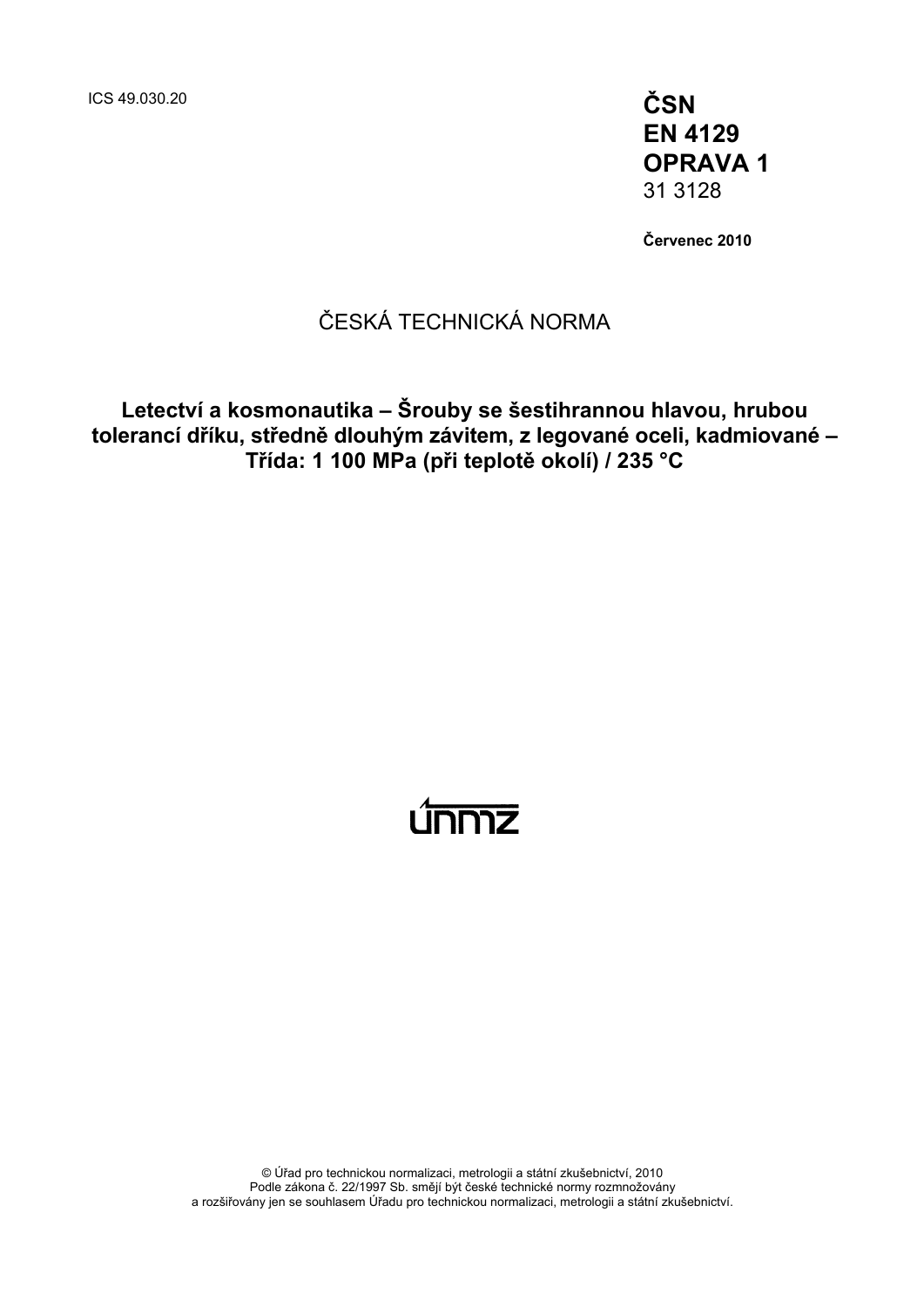ICS 49.030.20 **ČSN** 

**EN 4129 OPRAVA 1**  31 3128

**Červenec 2010** 

### ČESKÁ TECHNICKÁ NORMA

**Letectví a kosmonautika – Šrouby se šestihrannou hlavou, hrubou tolerancí dříku, středně dlouhým závitem, z legované oceli, kadmiované – Třída: 1 100 MPa (při teplotě okolí) / 235 °C** 

# únmz

© Úřad pro technickou normalizaci, metrologii a státní zkušebnictví, 2010 Podle zákona č. 22/1997 Sb. smějí být české technické normy rozmnožovány a rozšiřovány jen se souhlasem Úřadu pro technickou normalizaci, metrologii a státní zkušebnictví.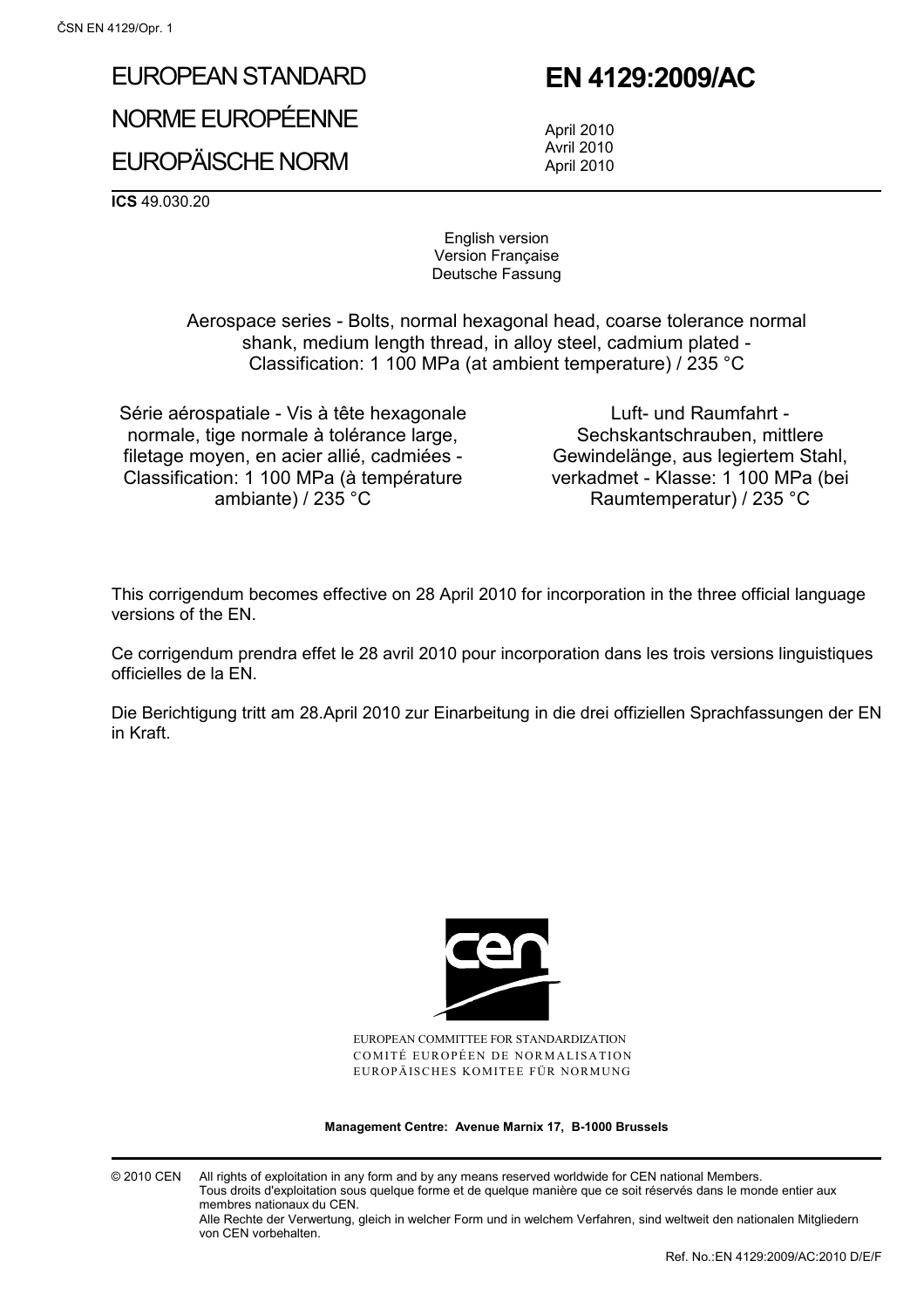# EUROPEAN STANDARD

NORME EUROPÉENNE

## EUROPÄISCHE NORM

## **EN 4129:2009/AC**

 April 2010 Avril 2010 April 2010

**ICS** 49.030.20

English version Version Française Deutsche Fassung

 Aerospace series - Bolts, normal hexagonal head, coarse tolerance normal shank, medium length thread, in alloy steel, cadmium plated - Classification: 1 100 MPa (at ambient temperature) / 235 °C

Série aérospatiale - Vis à tête hexagonale normale, tige normale à tolérance large, filetage moyen, en acier allié, cadmiées - Classification: 1 100 MPa (à température ambiante) / 235 °C

Luft- und Raumfahrt - Sechskantschrauben, mittlere Gewindelänge, aus legiertem Stahl, verkadmet - Klasse: 1 100 MPa (bei Raumtemperatur) / 235 °C

This corrigendum becomes effective on 28 April 2010 for incorporation in the three official language versions of the EN.

Ce corrigendum prendra effet le 28 avril 2010 pour incorporation dans les trois versions linguistiques officielles de la EN.

Die Berichtigung tritt am 28.April 2010 zur Einarbeitung in die drei offiziellen Sprachfassungen der EN in Kraft.



EUROPEAN COMMITTEE FOR STANDARDIZATION COMITÉ EUROPÉEN DE NORMALISATION EUROPÄISCHES KOMITEE FÜR NORMUNG

**Management Centre: Avenue Marnix 17, B-1000 Brussels** 

© 2010 CEN All rights of exploitation in any form and by any means reserved worldwide for CEN national Members. Tous droits d'exploitation sous quelque forme et de quelque manière que ce soit réservés dans le monde entier aux membres nationaux du CEN.

Alle Rechte der Verwertung, gleich in welcher Form und in welchem Verfahren, sind weltweit den nationalen Mitgliedern von CEN vorbehalten.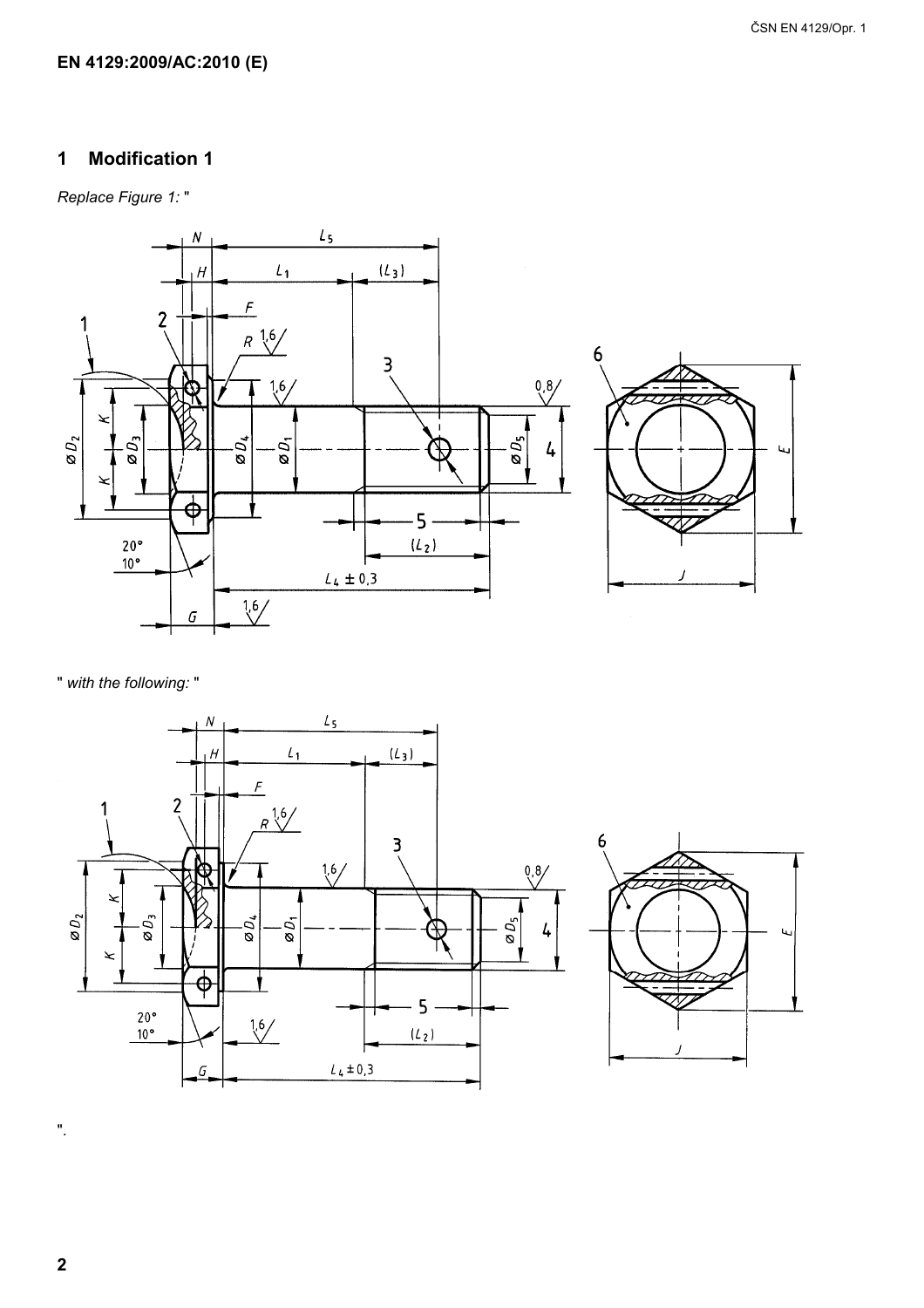#### EN 4129:2009/AC:2010 (E)

#### **Modification 1**  $\mathbf 1$

Replace Figure 1:"



" with the following: "





 $\mathbf 2$ 

 $\overline{\mathbf{u}}$